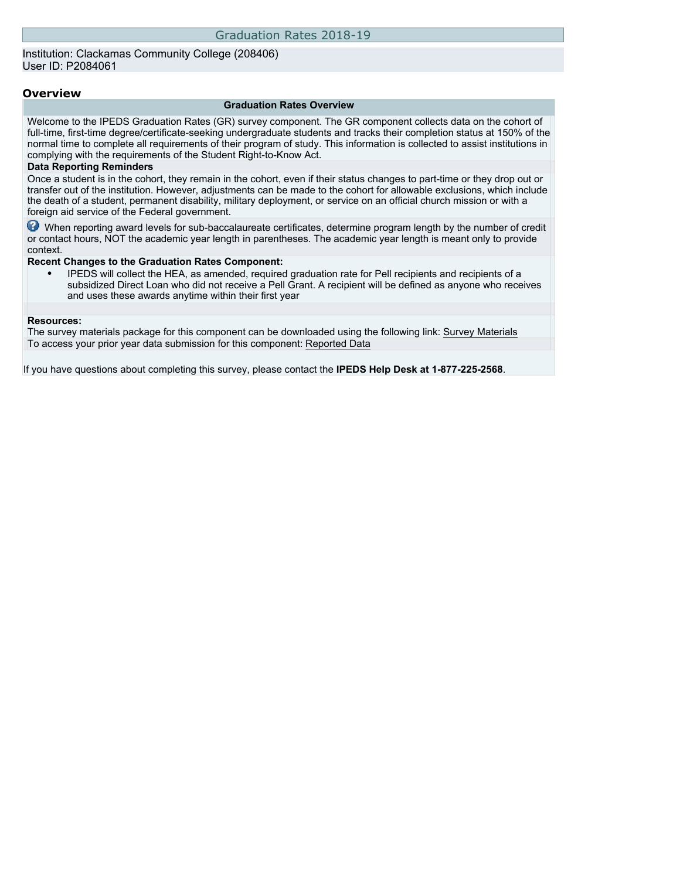### Institution: Clackamas Community College (208406) User ID: P2084061

#### **Overview**

#### **Graduation Rates Overview**

Welcome to the IPEDS Graduation Rates (GR) survey component. The GR component collects data on the cohort of full-time, first-time degree/certificate-seeking undergraduate students and tracks their completion status at 150% of the normal time to complete all requirements of their program of study. This information is collected to assist institutions in complying with the requirements of the Student Right-to-Know Act.

#### **Data Reporting Reminders**

Once a student is in the cohort, they remain in the cohort, even if their status changes to part-time or they drop out or transfer out of the institution. However, adjustments can be made to the cohort for allowable exclusions, which include the death of a student, permanent disability, military deployment, or service on an official church mission or with a foreign aid service of the Federal government.

When reporting award levels for sub-baccalaureate certificates, determine program length by the number of credit or contact hours, NOT the academic year length in parentheses. The academic year length is meant only to provide context.

#### **Recent Changes to the Graduation Rates Component:**

• IPEDS will collect the HEA, as amended, required graduation rate for Pell recipients and recipients of a subsidized Direct Loan who did not receive a Pell Grant. A recipient will be defined as anyone who receives and uses these awards anytime within their first year

#### **Resources:**

The survey materials package for this component can be downloaded using the following link: [Survey Materials](https://surveys.nces.ed.gov/ipeds/VisIndex.aspx) To access your prior year data submission for this component: [Reported Data](http://192.168.102.89/ipeds/PriorYearDataRedirect.aspx?survey_id=4)

If you have questions about completing this survey, please contact the **IPEDS Help Desk at 1-877-225-2568**.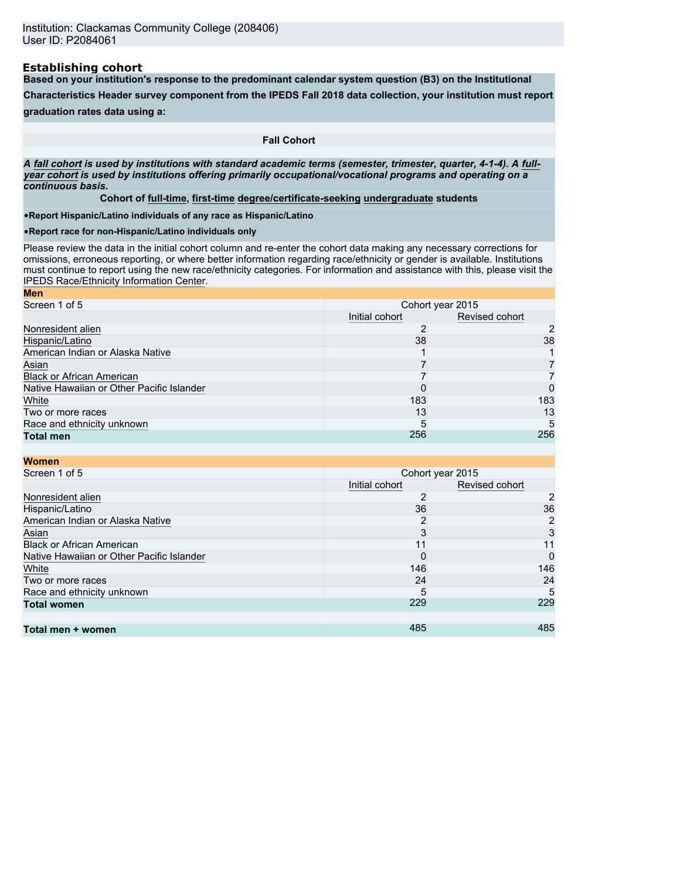### **Establishing cohort**

**Based on your institution's response to the predominant calendar system question (B3) on the Institutional**

**Characteristics Header survey component from the IPEDS Fall 2018 data collection, your institution must report**

## **graduation rates data using a:**

**Fall Cohort**

*A* **fall cohort** *is used by institutions with standard academic terms (semester, trimester, quarter, 4-1-4). A* **fullyear cohort** *is used by institutions offering primarily occupational/vocational programs and operating on a continuous basis.*

**Cohort of full-time, first-time degree/certificate-seeking undergraduate students**

•**Report Hispanic/Latino individuals of any race as Hispanic/Latino**

•**Report race for non-Hispanic/Latino individuals only**

Please review the data in the initial cohort column and re-enter the cohort data making any necessary corrections for omissions, erroneous reporting, or where better information regarding race/ethnicity or gender is available. Institutions must continue to report using the new race/ethnicity categories. For information and assistance with this, please visit the [IPEDS Race/Ethnicity Information Center.](https://nces.ed.gov/ipeds/report-your-data/resource-center-race-ethnicity)

| <b>Men</b>                                |                |                  |
|-------------------------------------------|----------------|------------------|
| Screen 1 of 5                             |                | Cohort year 2015 |
|                                           | Initial cohort | Revised cohort   |
| Nonresident alien                         |                | 2                |
| Hispanic/Latino                           | 38             | 38               |
| American Indian or Alaska Native          |                |                  |
| Asian                                     |                |                  |
| <b>Black or African American</b>          |                |                  |
| Native Hawaiian or Other Pacific Islander |                | 0                |
| White                                     | 183            | 183              |
| Two or more races                         | 13             | 13               |
| Race and ethnicity unknown                | 5              | 5                |
| <b>Total men</b>                          | 256            | 256              |

| <b>Women</b>                              |                |                  |
|-------------------------------------------|----------------|------------------|
| Screen 1 of 5                             |                | Cohort year 2015 |
|                                           | Initial cohort | Revised cohort   |
| Nonresident alien                         | 2              | 2                |
| Hispanic/Latino                           | 36             | 36               |
| American Indian or Alaska Native          | 2              | 2                |
| Asian                                     | 3              | 3                |
| <b>Black or African American</b>          | 11             | 11               |
| Native Hawaiian or Other Pacific Islander | 0              | 0                |
| White                                     | 146            | 146              |
| Two or more races                         | 24             | 24               |
| Race and ethnicity unknown                | 5              | 5                |
| <b>Total women</b>                        | 229            | 229              |
|                                           |                |                  |
| Total men + women                         | 485            | 485              |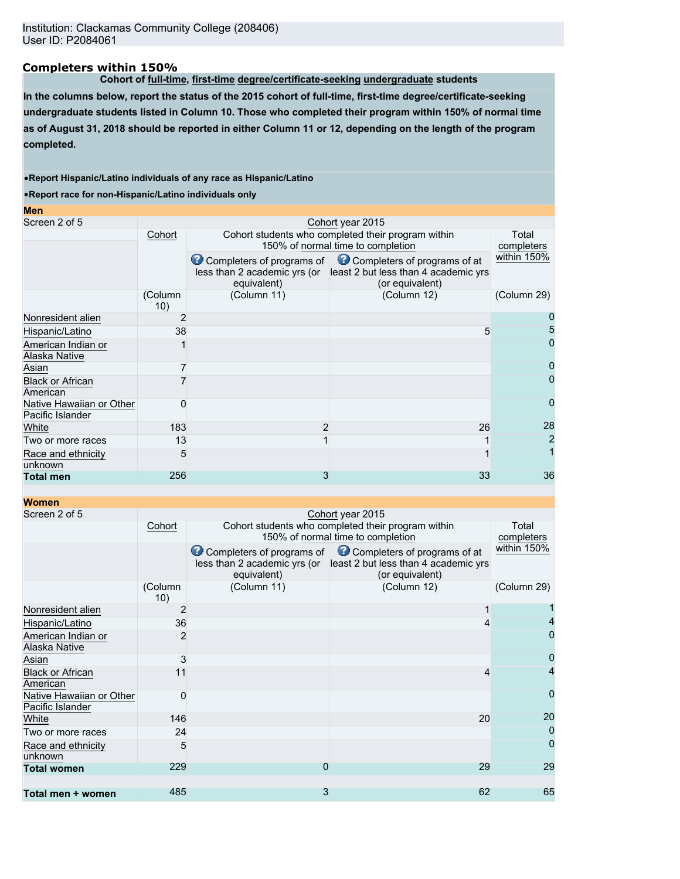### **Completers within 150%**

**Cohort of full-time, first-time degree/certificate-seeking undergraduate students**

**In the columns below, report the status of the 2015 cohort of full-time, first-time degree/certificate-seeking undergraduate students listed in Column 10. Those who completed their program within 150% of normal time as of August 31, 2018 should be reported in either Column 11 or 12, depending on the length of the program completed.**

#### •**Report Hispanic/Latino individuals of any race as Hispanic/Latino**

•**Report race for non-Hispanic/Latino individuals only**

| Cohort         |             | Total<br>completers |                                                                                                                                                                                                                                                                       |
|----------------|-------------|---------------------|-----------------------------------------------------------------------------------------------------------------------------------------------------------------------------------------------------------------------------------------------------------------------|
|                | equivalent) | (or equivalent)     | within 150%                                                                                                                                                                                                                                                           |
| (Column<br>10) | (Column 11) | (Column 12)         | (Column 29)                                                                                                                                                                                                                                                           |
| 2              |             |                     |                                                                                                                                                                                                                                                                       |
| 38             |             |                     |                                                                                                                                                                                                                                                                       |
|                |             |                     |                                                                                                                                                                                                                                                                       |
|                |             |                     |                                                                                                                                                                                                                                                                       |
|                |             |                     |                                                                                                                                                                                                                                                                       |
| 0              |             |                     | $\Omega$                                                                                                                                                                                                                                                              |
| 183            |             |                     | 28                                                                                                                                                                                                                                                                    |
| 13             |             |                     | 2                                                                                                                                                                                                                                                                     |
| 5              |             |                     |                                                                                                                                                                                                                                                                       |
| 256            |             |                     | 36                                                                                                                                                                                                                                                                    |
|                |             |                     | Cohort year 2015<br>Cohort students who completed their program within<br>150% of normal time to completion<br>Completers of programs of Completers of programs of at<br>less than 2 academic yrs (or least 2 but less than 4 academic yrs<br>5<br>2<br>26<br>3<br>33 |

### **Women**

| Screen 2 of 5                                |                |                                                                          | Cohort year 2015                                                                        |                     |
|----------------------------------------------|----------------|--------------------------------------------------------------------------|-----------------------------------------------------------------------------------------|---------------------|
|                                              | Cohort         |                                                                          | Cohort students who completed their program within<br>150% of normal time to completion | Total<br>completers |
|                                              |                | Completers of programs of<br>less than 2 academic yrs (or<br>equivalent) | Completers of programs of at<br>least 2 but less than 4 academic yrs<br>(or equivalent) | within 150%         |
|                                              | (Column<br>10) | (Column 11)                                                              | (Column 12)                                                                             | (Column 29)         |
| Nonresident alien                            | 2              |                                                                          |                                                                                         |                     |
| Hispanic/Latino                              | 36             |                                                                          |                                                                                         |                     |
| American Indian or<br>Alaska Native          | 2              |                                                                          |                                                                                         | 0                   |
| Asian                                        | 3              |                                                                          |                                                                                         | 0                   |
| <b>Black or African</b><br>American          | 11             |                                                                          | 4                                                                                       |                     |
| Native Hawaiian or Other<br>Pacific Islander | $\Omega$       |                                                                          |                                                                                         | $\overline{0}$      |
| White                                        | 146            |                                                                          | 20                                                                                      | 20                  |
| Two or more races                            | 24             |                                                                          |                                                                                         | 0                   |
| Race and ethnicity<br>unknown                | 5              |                                                                          |                                                                                         | $\Omega$            |
| <b>Total women</b>                           | 229            | 0                                                                        | 29                                                                                      | 29                  |
| Total men + women                            | 485            | 3                                                                        | 62                                                                                      | 65                  |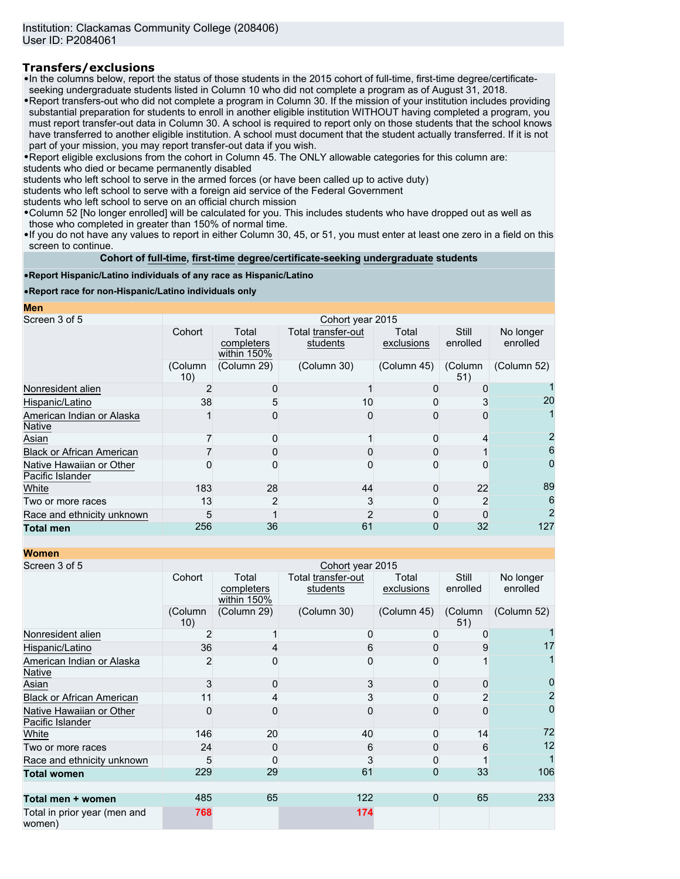## **Transfers/exclusions**

•In the columns below, report the status of those students in the 2015 cohort of full-time, first-time degree/certificateseeking undergraduate students listed in Column 10 who did not complete a program as of August 31, 2018.

•Report transfers-out who did not complete a program in Column 30. If the mission of your institution includes providing substantial preparation for students to enroll in another eligible institution WITHOUT having completed a program, you must report transfer-out data in Column 30. A school is required to report only on those students that the school knows have transferred to another eligible institution. A school must document that the student actually transferred. If it is not part of your mission, you may report transfer-out data if you wish.

•Report eligible exclusions from the cohort in Column 45. The ONLY allowable categories for this column are: students who died or became permanently disabled

students who left school to serve in the armed forces (or have been called up to active duty)

students who left school to serve with a foreign aid service of the Federal Government

students who left school to serve on an official church mission

•Column 52 [No longer enrolled] will be calculated for you. This includes students who have dropped out as well as those who completed in greater than 150% of normal time.

•If you do not have any values to report in either Column 30, 45, or 51, you must enter at least one zero in a field on this screen to continue.

**Cohort of full-time, first-time degree/certificate-seeking undergraduate students**

#### •**Report Hispanic/Latino individuals of any race as Hispanic/Latino**

•**Report race for non-Hispanic/Latino individuals only**

**Men**

| Screen 3 of 5                                | Cohort year 2015 |                                    |                                |                     |                   |                       |
|----------------------------------------------|------------------|------------------------------------|--------------------------------|---------------------|-------------------|-----------------------|
|                                              | Cohort           | Total<br>completers<br>within 150% | Total transfer-out<br>students | Total<br>exclusions | Still<br>enrolled | No longer<br>enrolled |
|                                              | (Column<br>10)   | (Column 29)                        | (Column 30)                    | (Column 45)         | (Column<br>51)    | (Column 52)           |
| Nonresident alien                            |                  |                                    |                                |                     |                   |                       |
| Hispanic/Latino                              | 38               |                                    | 10                             |                     |                   | 20                    |
| American Indian or Alaska<br><b>Native</b>   |                  |                                    |                                |                     |                   |                       |
| Asian                                        |                  |                                    |                                |                     |                   |                       |
| <b>Black or African American</b>             |                  |                                    |                                |                     |                   | 6                     |
| Native Hawaiian or Other<br>Pacific Islander |                  |                                    |                                |                     |                   |                       |
| White                                        | 183              | 28                                 | 44                             |                     | 22                | 89                    |
| Two or more races                            | 13               |                                    |                                |                     |                   | 6                     |
| Race and ethnicity unknown                   | 5                |                                    |                                |                     |                   |                       |
| <b>Total men</b>                             | 256              | 36                                 | 61                             |                     | 32                | 127                   |

**Women**

| <u>vvomen</u>                                |                |                                    |                                |                     |                          |                       |  |
|----------------------------------------------|----------------|------------------------------------|--------------------------------|---------------------|--------------------------|-----------------------|--|
| Screen 3 of 5                                |                | Cohort year 2015                   |                                |                     |                          |                       |  |
|                                              | Cohort         | Total<br>completers<br>within 150% | Total transfer-out<br>students | Total<br>exclusions | <b>Still</b><br>enrolled | No longer<br>enrolled |  |
|                                              | (Column<br>10) | (Column 29)                        | (Column 30)                    | (Column 45)         | (Column<br>51)           | (Column 52)           |  |
| Nonresident alien                            |                |                                    |                                |                     |                          |                       |  |
| Hispanic/Latino                              | 36             |                                    |                                |                     |                          | 17                    |  |
| American Indian or Alaska<br>Native          | $\overline{2}$ |                                    |                                |                     |                          |                       |  |
| Asian                                        |                |                                    |                                |                     |                          |                       |  |
| <b>Black or African American</b>             |                |                                    |                                |                     |                          |                       |  |
| Native Hawaiian or Other<br>Pacific Islander | O              |                                    |                                | O)                  |                          | 0                     |  |
| White                                        | 146            | 20                                 | 40                             | O                   | 14                       | 72                    |  |
| Two or more races                            | 24             |                                    | 6                              | 0                   | 6                        | 12                    |  |
| Race and ethnicity unknown                   | 5              |                                    |                                | 0                   |                          |                       |  |
| <b>Total women</b>                           | 229            | 29                                 | 61                             | 0                   | 33                       | 106                   |  |
| Total men + women                            | 485            | 65                                 | 122                            | $\Omega$            | 65                       | 233                   |  |
| Total in prior year (men and<br>women)       | 768            |                                    | 174                            |                     |                          |                       |  |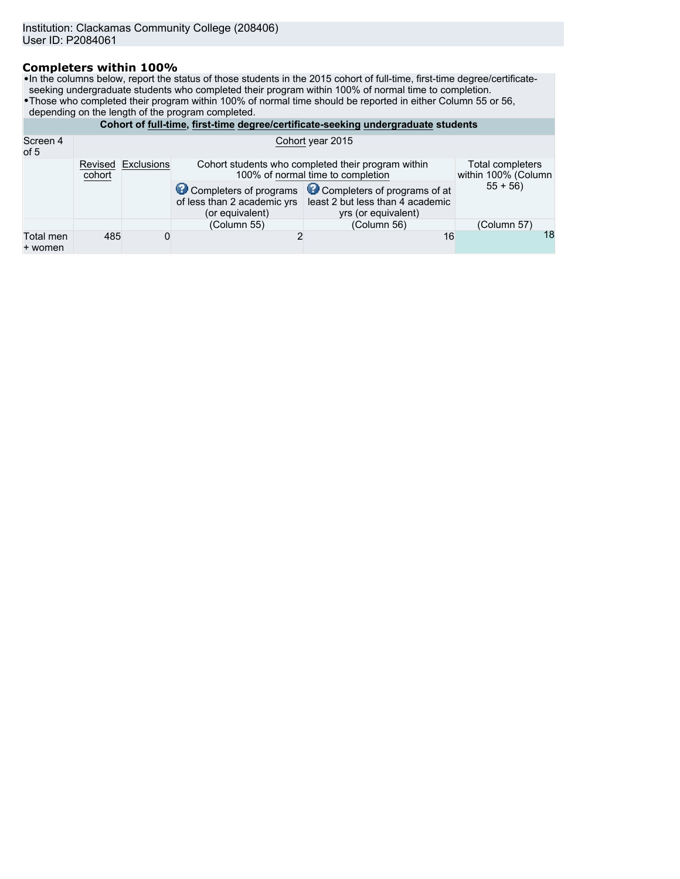## **Completers within 100%**

•In the columns below, report the status of those students in the 2015 cohort of full-time, first-time degree/certificateseeking undergraduate students who completed their program within 100% of normal time to completion.

- •Those who completed their program within 100% of normal time should be reported in either Column 55 or 56,
- depending on the length of the program completed.

| Cohort of full-time, first-time degree/certificate-seeking undergraduate students |                   |            |                                                                                                                                    |                                                                                                                |             |  |
|-----------------------------------------------------------------------------------|-------------------|------------|------------------------------------------------------------------------------------------------------------------------------------|----------------------------------------------------------------------------------------------------------------|-------------|--|
| Screen 4<br>Cohort year 2015<br>of 5                                              |                   |            |                                                                                                                                    |                                                                                                                |             |  |
|                                                                                   | Revised<br>cohort | Exclusions | Total completers<br>Cohort students who completed their program within<br>100% of normal time to completion<br>within 100% (Column |                                                                                                                |             |  |
|                                                                                   |                   |            | of less than 2 academic yrs<br>(or equivalent)                                                                                     | Completers of programs Completers of programs of at<br>least 2 but less than 4 academic<br>yrs (or equivalent) | $55 + 56$   |  |
|                                                                                   |                   |            | (Column 55)                                                                                                                        | (Column 56)                                                                                                    | (Column 57) |  |
| Total men<br>+ women                                                              | 485               | 0          |                                                                                                                                    | 16                                                                                                             | 18          |  |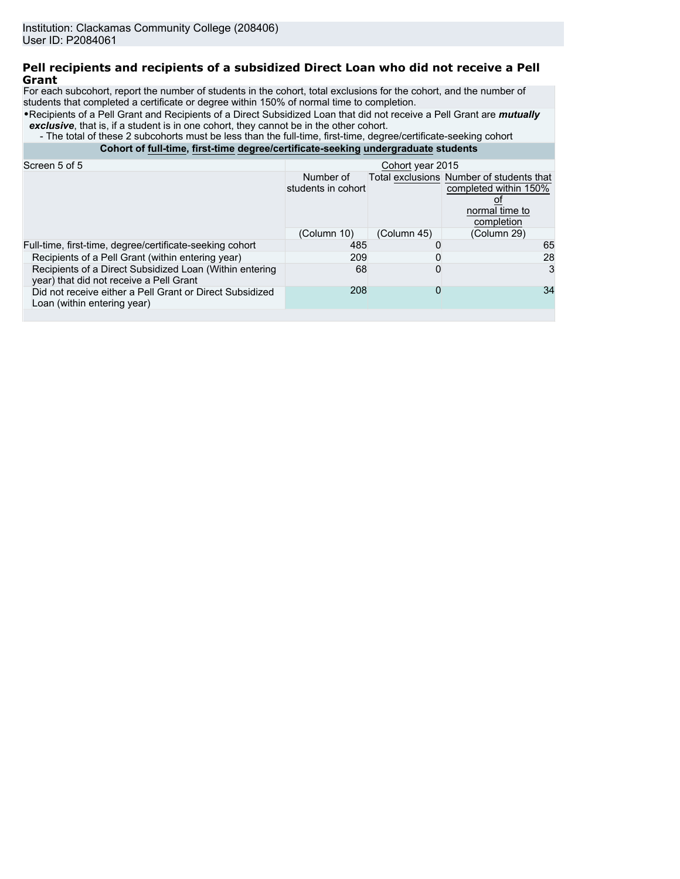### **Pell recipients and recipients of a subsidized Direct Loan who did not receive a Pell Grant**

For each subcohort, report the number of students in the cohort, total exclusions for the cohort, and the number of students that completed a certificate or degree within 150% of normal time to completion.

•Recipients of a Pell Grant and Recipients of a Direct Subsidized Loan that did not receive a Pell Grant are *mutually* **exclusive**, that is, if a student is in one cohort, they cannot be in the other cohort.

- The total of these 2 subcohorts must be less than the full-time, first-time, degree/certificate-seeking cohort

**Cohort of full-time, first-time degree/certificate-seeking undergraduate students**

|             | Cohort year 2015 |                                                                                                   |
|-------------|------------------|---------------------------------------------------------------------------------------------------|
| Number of   |                  | Total exclusions Number of students that<br>completed within 150%<br>normal time to<br>completion |
| (Column 10) | (Column 45)      | (Column 29)                                                                                       |
|             |                  | 65                                                                                                |
|             |                  | 28                                                                                                |
|             |                  | 3                                                                                                 |
|             | 0                | 34                                                                                                |
|             |                  | students in cohort<br>485<br>209<br>68<br>208                                                     |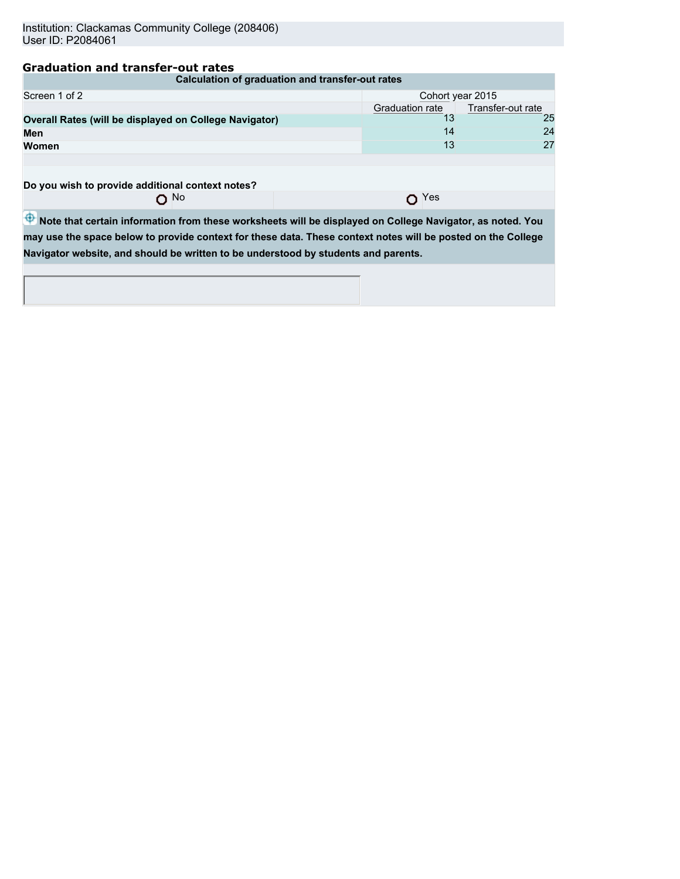## **Graduation and transfer-out rates**

| Calculation of graduation and transfer-out rates       |                  |                   |  |  |
|--------------------------------------------------------|------------------|-------------------|--|--|
| Screen 1 of 2                                          | Cohort year 2015 |                   |  |  |
|                                                        | Graduation rate  | Transfer-out rate |  |  |
| Overall Rates (will be displayed on College Navigator) |                  | 25                |  |  |
| Men                                                    | 14               | 24                |  |  |
| Women                                                  | 13               | 27                |  |  |
|                                                        |                  |                   |  |  |
| Do you wish to provide additional context notes?       |                  |                   |  |  |

 $\frac{1}{\sqrt{2}}$  bu wish to provide additional context notes?

O Yes

 $\overline{\Phi}$  Note that certain information from these worksheets will be displayed on College Navigator, as noted. You **may use the space below to provide context for these data. These context notes will be posted on the College Navigator website, and should be written to be understood by students and parents.**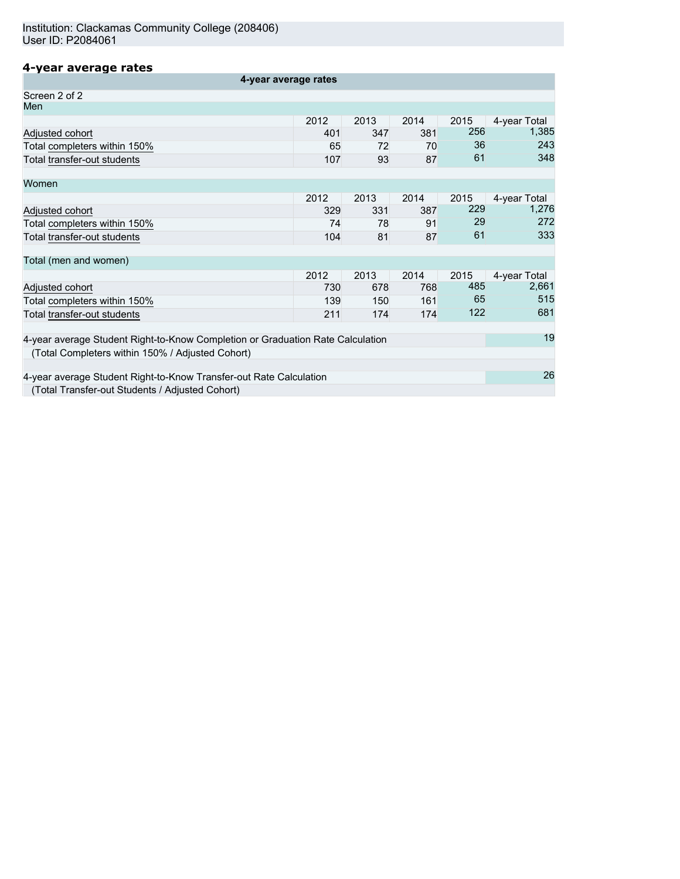## **4-year average rates**

| 4-year average rates                                                           |      |      |      |      |              |
|--------------------------------------------------------------------------------|------|------|------|------|--------------|
| Screen 2 of 2                                                                  |      |      |      |      |              |
| Men                                                                            |      |      |      |      |              |
|                                                                                | 2012 | 2013 | 2014 | 2015 | 4-year Total |
| Adjusted cohort                                                                | 401  | 347  | 381  | 256  | 1,385        |
| Total completers within 150%                                                   | 65   | 72   | 70   | 36   | 243          |
| Total transfer-out students                                                    | 107  | 93   | 87   | 61   | 348          |
| Women                                                                          |      |      |      |      |              |
|                                                                                | 2012 | 2013 | 2014 | 2015 | 4-year Total |
| Adjusted cohort                                                                | 329  | 331  | 387  | 229  | 1,276        |
| Total completers within 150%                                                   | 74   | 78   | 91   | 29   | 272          |
| Total transfer-out students                                                    | 104  | 81   | 87   | 61   | 333          |
| Total (men and women)                                                          |      |      |      |      |              |
|                                                                                | 2012 | 2013 | 2014 | 2015 | 4-year Total |
| Adjusted cohort                                                                | 730  | 678  | 768  | 485  | 2,661        |
| Total completers within 150%                                                   | 139  | 150  | 161  | 65   | 515          |
| Total transfer-out students                                                    | 211  | 174  | 174  | 122  | 681          |
| 4-year average Student Right-to-Know Completion or Graduation Rate Calculation |      |      |      |      | 19           |
| (Total Completers within 150% / Adjusted Cohort)                               |      |      |      |      |              |
| 4-year average Student Right-to-Know Transfer-out Rate Calculation             |      |      |      |      | 26           |
|                                                                                |      |      |      |      |              |
| (Total Transfer-out Students / Adjusted Cohort)                                |      |      |      |      |              |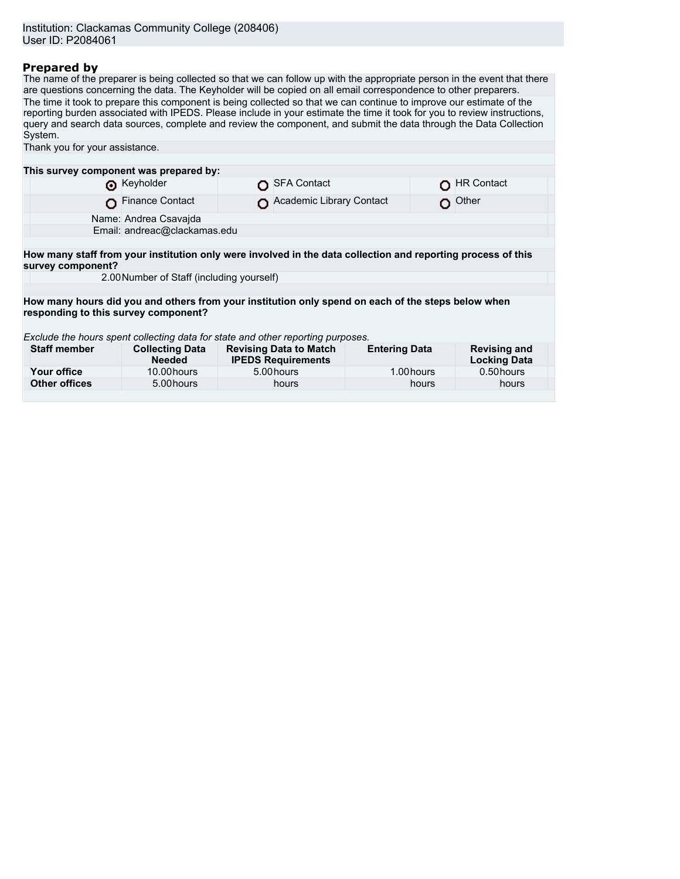## **Prepared by**

The name of the preparer is being collected so that we can follow up with the appropriate person in the event that there are questions concerning the data. The Keyholder will be copied on all email correspondence to other preparers. The time it took to prepare this component is being collected so that we can continue to improve our estimate of the reporting burden associated with IPEDS. Please include in your estimate the time it took for you to review instructions, query and search data sources, complete and review the component, and submit the data through the Data Collection System. Thank you for your assistance. **This survey component was prepared by:**

|                                                                                                                                   | <b>O</b> Keyholder                                                                                                                         |  | SFA Contact              |  | <b>HR Contact</b> |  |
|-----------------------------------------------------------------------------------------------------------------------------------|--------------------------------------------------------------------------------------------------------------------------------------------|--|--------------------------|--|-------------------|--|
|                                                                                                                                   | Finance Contact                                                                                                                            |  | Academic Library Contact |  | $O$ Other         |  |
|                                                                                                                                   | Name: Andrea Csavaida                                                                                                                      |  |                          |  |                   |  |
|                                                                                                                                   | Email: andreac@clackamas.edu                                                                                                               |  |                          |  |                   |  |
|                                                                                                                                   |                                                                                                                                            |  |                          |  |                   |  |
| How many staff from your institution only were involved in the data collection and reporting process of this<br>survey component? |                                                                                                                                            |  |                          |  |                   |  |
|                                                                                                                                   | 2.00 Number of Staff (including yourself)                                                                                                  |  |                          |  |                   |  |
|                                                                                                                                   |                                                                                                                                            |  |                          |  |                   |  |
|                                                                                                                                   | How many hours did you and others from your institution only spend on each of the steps below when<br>responding to this survey component? |  |                          |  |                   |  |

*Exclude the hours spent collecting data for state and other reporting purposes.*

| <b>Staff member</b>  | <b>Collecting Data</b><br><b>Needed</b> | <b>Revising Data to Match</b><br><b>IPEDS Requirements</b> | <b>Entering Data</b> | <b>Revising and</b><br><b>Locking Data</b> |
|----------------------|-----------------------------------------|------------------------------------------------------------|----------------------|--------------------------------------------|
| Your office          | 10.00 hours                             | 5.00 hours                                                 | 1.00 hours           | 0.50 hours                                 |
| <b>Other offices</b> | 5.00 hours                              | hours                                                      | hours                | hours                                      |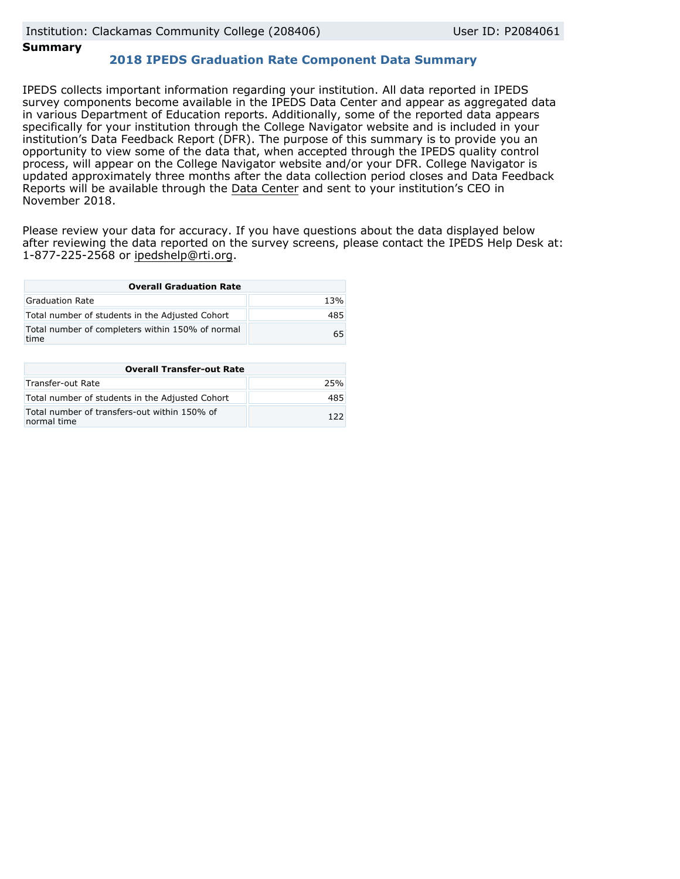### **Summary**

## **2018 IPEDS Graduation Rate Component Data Summary**

IPEDS collects important information regarding your institution. All data reported in IPEDS survey components become available in the IPEDS Data Center and appear as aggregated data in various Department of Education reports. Additionally, some of the reported data appears specifically for your institution through the College Navigator website and is included in your institution's Data Feedback Report (DFR). The purpose of this summary is to provide you an opportunity to view some of the data that, when accepted through the IPEDS quality control process, will appear on the College Navigator website and/or your DFR. College Navigator is updated approximately three months after the data collection period closes and Data Feedback Reports will be available through the [Data Center](https://nces.ed.gov/ipeds/use-the-data) and sent to your institution's CEO in November 2018.

Please review your data for accuracy. If you have questions about the data displayed below after reviewing the data reported on the survey screens, please contact the IPEDS Help Desk at: 1-877-225-2568 or ipedshelp@rti.org.

| <b>Overall Graduation Rate</b>                           |     |  |  |  |
|----------------------------------------------------------|-----|--|--|--|
| Graduation Rate                                          | 13% |  |  |  |
| Total number of students in the Adjusted Cohort          | 485 |  |  |  |
| Total number of completers within 150% of normal<br>time | 65  |  |  |  |

| <b>Overall Transfer-out Rate</b>                            |      |  |  |  |
|-------------------------------------------------------------|------|--|--|--|
| Transfer-out Rate                                           | 25%  |  |  |  |
| Total number of students in the Adjusted Cohort             | 485  |  |  |  |
| Total number of transfers-out within 150% of<br>normal time | 1 つつ |  |  |  |